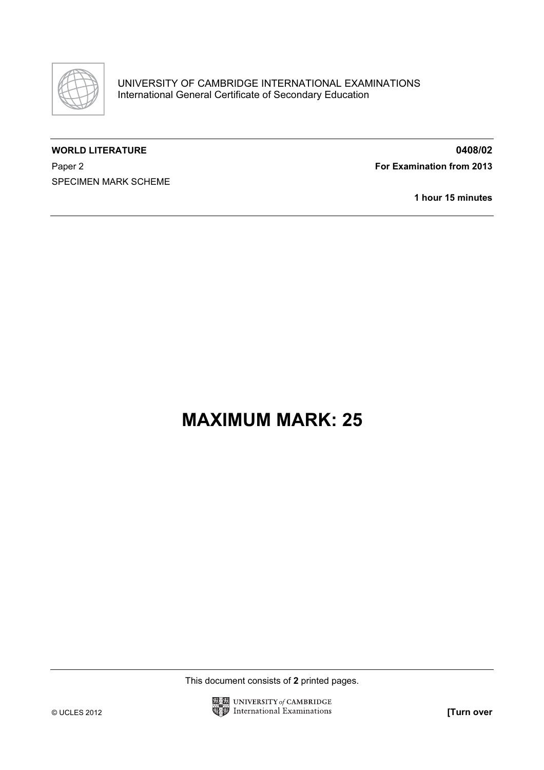

## WORLD LITERATURE **0408/02**

Paper 2 **For Examination from 2013** 

SPECIMEN MARK SCHEME

1 hour 15 minutes

## MAXIMUM MARK: 25

This document consists of 2 printed pages.